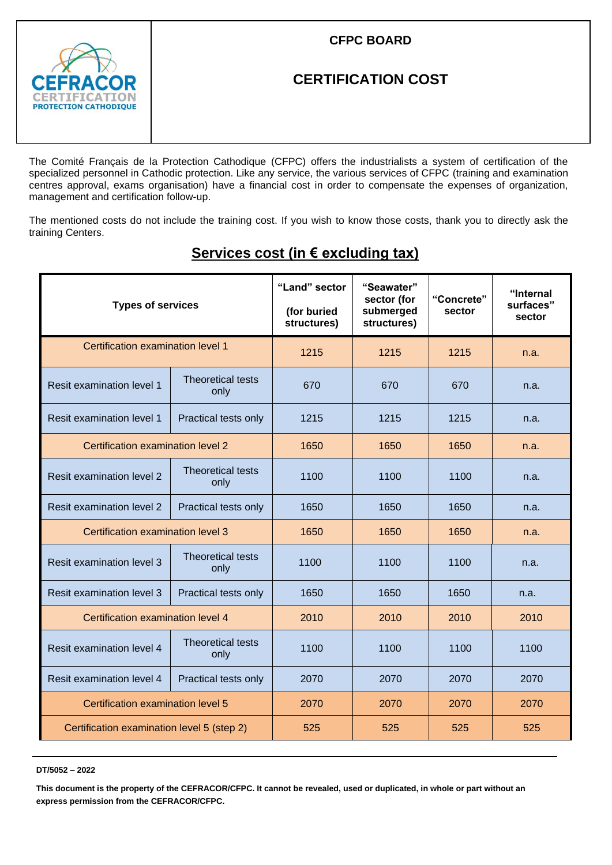

### **CFPC BOARD**

# **CERTIFICATION COST**

The Comité Français de la Protection Cathodique (CFPC) offers the industrialists a system of certification of the specialized personnel in Cathodic protection. Like any service, the various services of CFPC (training and examination centres approval, exams organisation) have a financial cost in order to compensate the expenses of organization, management and certification follow-up.

The mentioned costs do not include the training cost. If you wish to know those costs, thank you to directly ask the training Centers.

| <b>Types of services</b>                   |                                  | "Land" sector<br>(for buried<br>structures) | "Seawater"<br>sector (for<br>submerged<br>structures) | "Concrete"<br>sector | "Internal<br>surfaces"<br>sector |
|--------------------------------------------|----------------------------------|---------------------------------------------|-------------------------------------------------------|----------------------|----------------------------------|
| Certification examination level 1          |                                  | 1215                                        | 1215                                                  | 1215                 | n.a.                             |
| <b>Resit examination level 1</b>           | <b>Theoretical tests</b><br>only | 670                                         | 670                                                   | 670                  | n.a.                             |
| <b>Resit examination level 1</b>           | Practical tests only             | 1215                                        | 1215                                                  | 1215                 | n.a.                             |
| Certification examination level 2          |                                  | 1650                                        | 1650                                                  | 1650                 | n.a.                             |
| <b>Resit examination level 2</b>           | <b>Theoretical tests</b><br>only | 1100                                        | 1100                                                  | 1100                 | n.a.                             |
| Resit examination level 2                  | Practical tests only             | 1650                                        | 1650                                                  | 1650                 | n.a.                             |
| Certification examination level 3          |                                  | 1650                                        | 1650                                                  | 1650                 | n.a.                             |
| <b>Resit examination level 3</b>           | <b>Theoretical tests</b><br>only | 1100                                        | 1100                                                  | 1100                 | n.a.                             |
| <b>Resit examination level 3</b>           | Practical tests only             | 1650                                        | 1650                                                  | 1650                 | n.a.                             |
| Certification examination level 4          |                                  | 2010                                        | 2010                                                  | 2010                 | 2010                             |
| Resit examination level 4                  | <b>Theoretical tests</b><br>only | 1100                                        | 1100                                                  | 1100                 | 1100                             |
| Resit examination level 4                  | Practical tests only             | 2070                                        | 2070                                                  | 2070                 | 2070                             |
| Certification examination level 5          |                                  | 2070                                        | 2070                                                  | 2070                 | 2070                             |
| Certification examination level 5 (step 2) |                                  | 525                                         | 525                                                   | 525                  | 525                              |

## **Services cost (in € excluding tax)**

#### **DT/5052 – 2022**

**This document is the property of the CEFRACOR/CFPC. It cannot be revealed, used or duplicated, in whole or part without an express permission from the CEFRACOR/CFPC.**